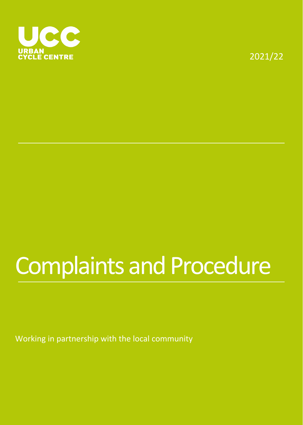

2021/22

# Complaints and Procedure

Working in partnership with the local community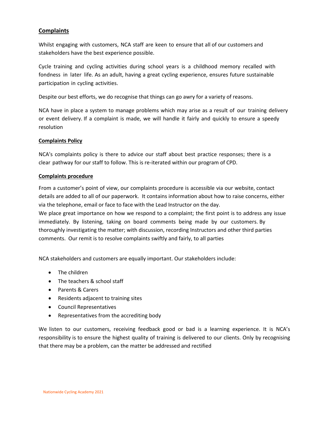# **Complaints**

Whilst engaging with customers, NCA staff are keen to ensure that all of our customers and stakeholders have the best experience possible.

Cycle training and cycling activities during school years is a childhood memory recalled with fondness in later life. As an adult, having a great cycling experience, ensures future sustainable participation in cycling activities.

Despite our best efforts, we do recognise that things can go awry for a variety of reasons.

NCA have in place a system to manage problems which may arise as a result of our training delivery or event delivery. If a complaint is made, we will handle it fairly and quickly to ensure a speedy resolution

### **Complaints Policy**

NCA's complaints policy is there to advice our staff about best practice responses; there is a clear pathway for our staff to follow. This is re-iterated within our program of CPD.

### **Complaints procedure**

From a customer's point of view, our complaints procedure is accessible via our website, contact details are added to all of our paperwork. It contains information about how to raise concerns, either via the telephone, email or face to face with the Lead Instructor on the day. We place great importance on how we respond to a complaint; the first point is to address any issue immediately. By listening, taking on board comments being made by our customers. By thoroughly investigating the matter; with discussion, recording Instructors and other third parties comments. Our remit is to resolve complaints swiftly and fairly, to all parties

NCA stakeholders and customers are equally important. Our stakeholders include:

- The children
- The teachers & school staff
- Parents & Carers
- Residents adjacent to training sites
- Council Representatives
- Representatives from the accrediting body

We listen to our customers, receiving feedback good or bad is a learning experience. It is NCA's responsibility is to ensure the highest quality of training is delivered to our clients. Only by recognising that there may be a problem, can the matter be addressed and rectified